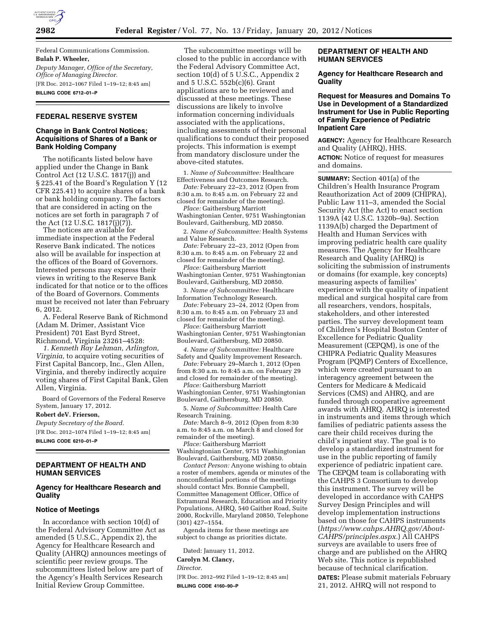

Federal Communications Commission. **Bulah P. Wheeler,**  *Deputy Manager, Office of the Secretary, Office of Managing Director.*  [FR Doc. 2012–1067 Filed 1–19–12; 8:45 am] **BILLING CODE 6712–01–P** 

# **FEDERAL RESERVE SYSTEM**

# **Change in Bank Control Notices; Acquisitions of Shares of a Bank or Bank Holding Company**

The notificants listed below have applied under the Change in Bank Control Act (12 U.S.C. 1817(j)) and § 225.41 of the Board's Regulation Y (12 CFR 225.41) to acquire shares of a bank or bank holding company. The factors that are considered in acting on the notices are set forth in paragraph 7 of the Act (12 U.S.C. 1817(j)(7)).

The notices are available for immediate inspection at the Federal Reserve Bank indicated. The notices also will be available for inspection at the offices of the Board of Governors. Interested persons may express their views in writing to the Reserve Bank indicated for that notice or to the offices of the Board of Governors. Comments must be received not later than February 6, 2012.

A. Federal Reserve Bank of Richmond (Adam M. Drimer, Assistant Vice President) 701 East Byrd Street, Richmond, Virginia 23261–4528:

*1. Kenneth Ray Lehman, Arlington, Virginia,* to acquire voting securities of First Capital Bancorp, Inc., Glen Allen, Virginia, and thereby indirectly acquire voting shares of First Capital Bank, Glen Allen, Virginia.

Board of Governors of the Federal Reserve System, January 17, 2012.

**Robert deV. Frierson,** 

*Deputy Secretary of the Board.* 

[FR Doc. 2012–1074 Filed 1–19–12; 8:45 am] **BILLING CODE 6210–01–P** 

# **DEPARTMENT OF HEALTH AND HUMAN SERVICES**

#### **Agency for Healthcare Research and Quality**

#### **Notice of Meetings**

In accordance with section 10(d) of the Federal Advisory Committee Act as amended (5 U.S.C., Appendix 2), the Agency for Healthcare Research and Quality (AHRQ) announces meetings of scientific peer review groups. The subcommittees listed below are part of the Agency's Health Services Research Initial Review Group Committee.

The subcommittee meetings will be closed to the public in accordance with the Federal Advisory Committee Act, section 10(d) of 5 U.S.C., Appendix 2 and 5 U.S.C. 552b(c)(6). Grant applications are to be reviewed and discussed at these meetings. These discussions are likely to involve information concerning individuals associated with the applications, including assessments of their personal qualifications to conduct their proposed projects. This information is exempt from mandatory disclosure under the above-cited statutes.

1. *Name of Subcommittee:* Healthcare Effectiveness and Outcomes Research.

*Date:* February 22–23, 2012 (Open from 8:30 a.m. to 8:45 a.m. on February 22 and closed for remainder of the meeting).

*Place:* Gaithersburg Marriott Washingtonian Center, 9751 Washingtonian Boulevard, Gaithersburg, MD 20850.

2. *Name of Subcommittee:* Health Systems and Value Research.

*Date:* February 22–23, 2012 (Open from 8:30 a.m. to 8:45 a.m. on February 22 and closed for remainder of the meeting).

*Place:* Gaithersburg Marriott Washingtonian Center, 9751 Washingtonian Boulevard, Gaithersburg, MD 20850.

3. *Name of Subcommittee:* Healthcare Information Technology Research.

*Date:* February 23–24, 2012 (Open from 8:30 a.m. to 8:45 a.m. on February 23 and closed for remainder of the meeting).

*Place:* Gaithersburg Marriott Washingtonian Center, 9751 Washingtonian Boulevard, Gaithersburg, MD 20850.

*4. Name of Subcommittee:* Healthcare

Safety and Quality Improvement Research. *Date:* February 29–March 1, 2012 (Open

from 8:30 a.m. to 8:45 a.m. on February 29 and closed for remainder of the meeting).

*Place:* Gaithersburg Marriott Washingtonian Center, 9751 Washingtonian Boulevard, Gaithersburg, MD 20850.

5. *Name of Subcommittee:* Health Care Research Training.

*Date:* March 8–9, 2012 (Open from 8:30 a.m. to 8:45 a.m. on March 8 and closed for remainder of the meeting).

*Place:* Gaithersburg Marriott Washingtonian Center, 9751 Washingtonian Boulevard, Gaithersburg, MD 20850.

*Contact Person:* Anyone wishing to obtain a roster of members, agenda or minutes of the nonconfidential portions of the meetings should contact Mrs. Bonnie Campbell, Committee Management Officer, Office of Extramural Research, Education and Priority Populations, AHRQ, 540 Gaither Road, Suite 2000, Rockville, Maryland 20850, Telephone (301) 427–1554.

Agenda items for these meetings are subject to change as priorities dictate.

Dated: January 11, 2012.

**Carolyn M. Clancy,** 

*Director.* 

[FR Doc. 2012–992 Filed 1–19–12; 8:45 am] **BILLING CODE 4160–90–P** 

# **DEPARTMENT OF HEALTH AND HUMAN SERVICES**

### **Agency for Healthcare Research and Quality**

### **Request for Measures and Domains To Use in Development of a Standardized Instrument for Use in Public Reporting of Family Experience of Pediatric Inpatient Care**

**AGENCY:** Agency for Healthcare Research and Quality (AHRQ), HHS. **ACTION:** Notice of request for measures and domains.

**SUMMARY:** Section 401(a) of the Children's Health Insurance Program Reauthorization Act of 2009 (CHIPRA), Public Law 111–3, amended the Social Security Act (the Act) to enact section 1139A (42 U.S.C. 1320b–9a). Section 1139A(b) charged the Department of Health and Human Services with improving pediatric health care quality measures. The Agency for Healthcare Research and Quality (AHRQ) is soliciting the submission of instruments or domains (for example, key concepts) measuring aspects of families' experience with the quality of inpatient medical and surgical hospital care from all researchers, vendors, hospitals, stakeholders, and other interested parties. The survey development team of Children's Hospital Boston Center of Excellence for Pediatric Quality Measurement (CEPQM), is one of the CHIPRA Pediatric Quality Measures Program (PQMP) Centers of Excellence, which were created pursuant to an interagency agreement between the Centers for Medicare & Medicaid Services (CMS) and AHRQ, and are funded through cooperative agreement awards with AHRQ. AHRQ is interested in instruments and items through which families of pediatric patients assess the care their child receives during the child's inpatient stay. The goal is to develop a standardized instrument for use in the public reporting of family experience of pediatric inpatient care. The CEPQM team is collaborating with the CAHPS 3 Consortium to develop this instrument. The survey will be developed in accordance with CAHPS Survey Design Principles and will develop implementation instructions based on those for CAHPS instruments (*[https://www.cahps.AHRQ.gov/About-](https://www.cahps.AHRQ.gov/About-CAHPS/principles.aspx)[CAHPS/principles.aspx.](https://www.cahps.AHRQ.gov/About-CAHPS/principles.aspx)*) All CAHPS surveys are available to users free of charge and are published on the AHRQ Web site. This notice is republished because of technical clarification. **DATES:** Please submit materials February 21, 2012. AHRQ will not respond to